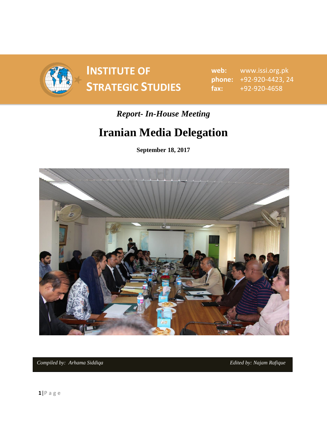

# **INSTITUTE OF SPONDITE OF SAMPLE SPONDIES** STRATEGIC STUDIES  $\begin{array}{ccc}\n\text{f} & \text{f} & \text{f} \\
\text{f} & \text{f} & \text{f} \\
\text{f} & \text{f} & \text{f}\n\end{array}$

**web:** www.issi.org.pk **phone:** +92-920-4423, 24 **fax:** +92-920-4658

### *Report- In-House Meeting*

## **Iranian Media Delegation**

**September 18, 2017**



*Compiled by: Arhama Siddiqa* **Edited by: Najam** *Rafique* Edited by: Najam *Rafique*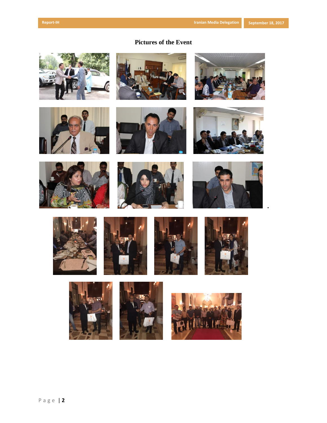#### **Pictures of the Event**































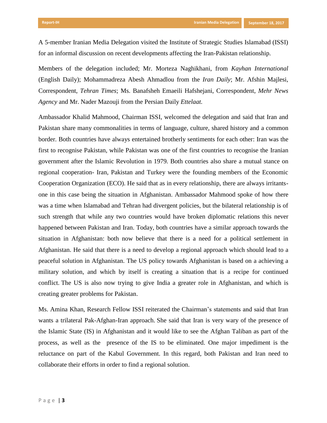A 5-member Iranian Media Delegation visited the Institute of Strategic Studies Islamabad (ISSI) for an informal discussion on recent developments affecting the Iran-Pakistan relationship.

Members of the delegation included; Mr. Morteza Naghikhani, from *Kayhan International* (English Daily); Mohammadreza Abesh Ahmadlou from the *Iran Daily*; Mr. Afshin Majlesi, Correspondent, *Tehran Times*; Ms. Banafsheh Emaeili Hafshejani, Correspondent, *Mehr News Agency* and Mr. Nader Mazouji from the Persian Daily *Ettelaat.*

Ambassador Khalid Mahmood, Chairman ISSI, welcomed the delegation and said that Iran and Pakistan share many commonalities in terms of language, culture, shared history and a common border. Both countries have always entertained brotherly sentiments for each other: Iran was the first to recognise Pakistan, while Pakistan was one of the first countries to recognise the Iranian government after the Islamic Revolution in 1979. Both countries also share a mutual stance on regional cooperation- Iran, Pakistan and Turkey were the founding members of the Economic Cooperation Organization (ECO). He said that as in every relationship, there are always irritantsone in this case being the situation in Afghanistan. Ambassador Mahmood spoke of how there was a time when Islamabad and Tehran had divergent policies, but the bilateral relationship is of such strength that while any two countries would have broken diplomatic relations this never happened between Pakistan and Iran. Today, both countries have a similar approach towards the situation in Afghanistan: both now believe that there is a need for a political settlement in Afghanistan. He said that there is a need to develop a regional approach which should lead to a peaceful solution in Afghanistan. The US policy towards Afghanistan is based on a achieving a military solution, and which by itself is creating a situation that is a recipe for continued conflict. The US is also now trying to give India a greater role in Afghanistan, and which is creating greater problems for Pakistan.

Ms. Amina Khan, Research Fellow ISSI reiterated the Chairman's statements and said that Iran wants a trilateral Pak-Afghan-Iran approach. She said that Iran is very wary of the presence of the Islamic State (IS) in Afghanistan and it would like to see the Afghan Taliban as part of the process, as well as the presence of the IS to be eliminated. One major impediment is the reluctance on part of the Kabul Government. In this regard, both Pakistan and Iran need to collaborate their efforts in order to find a regional solution.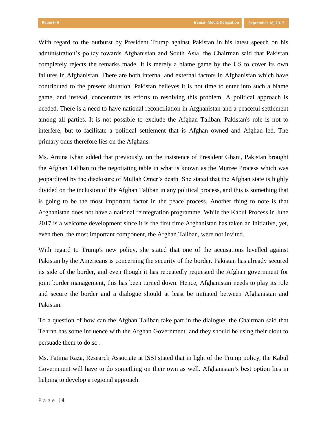With regard to the outburst by President Trump against Pakistan in his latest speech on his administration's policy towards Afghanistan and South Asia, the Chairman said that Pakistan completely rejects the remarks made. It is merely a blame game by the US to cover its own failures in Afghanistan. There are both internal and external factors in Afghanistan which have contributed to the present situation. Pakistan believes it is not time to enter into such a blame game, and instead, concentrate its efforts to resolving this problem. A political approach is needed. There is a need to have national reconciliation in Afghanistan and a peaceful settlement among all parties. It is not possible to exclude the Afghan Taliban. Pakistan's role is not to interfere, but to facilitate a political settlement that is Afghan owned and Afghan led. The primary onus therefore lies on the Afghans.

Ms. Amina Khan added that previously, on the insistence of President Ghani, Pakistan brought the Afghan Taliban to the negotiating table in what is known as the Murree Process which was jeopardized by the disclosure of Mullah Omer's death. She stated that the Afghan state is highly divided on the inclusion of the Afghan Taliban in any political process, and this is something that is going to be the most important factor in the peace process. Another thing to note is that Afghanistan does not have a national reintegration programme. While the Kabul Process in June 2017 is a welcome development since it is the first time Afghanistan has taken an initiative, yet, even then, the most important component, the Afghan Taliban, were not invited.

With regard to Trump's new policy, she stated that one of the accusations levelled against Pakistan by the Americans is concerning the security of the border. Pakistan has already secured its side of the border, and even though it has repeatedly requested the Afghan government for joint border management, this has been turned down. Hence, Afghanistan needs to play its role and secure the border and a dialogue should at least be initiated between Afghanistan and Pakistan.

To a question of how can the Afghan Taliban take part in the dialogue, the Chairman said that Tehran has some influence with the Afghan Government and they should be using their clout to persuade them to do so .

Ms. Fatima Raza, Research Associate at ISSI stated that in light of the Trump policy, the Kabul Government will have to do something on their own as well. Afghanistan's best option lies in helping to develop a regional approach.